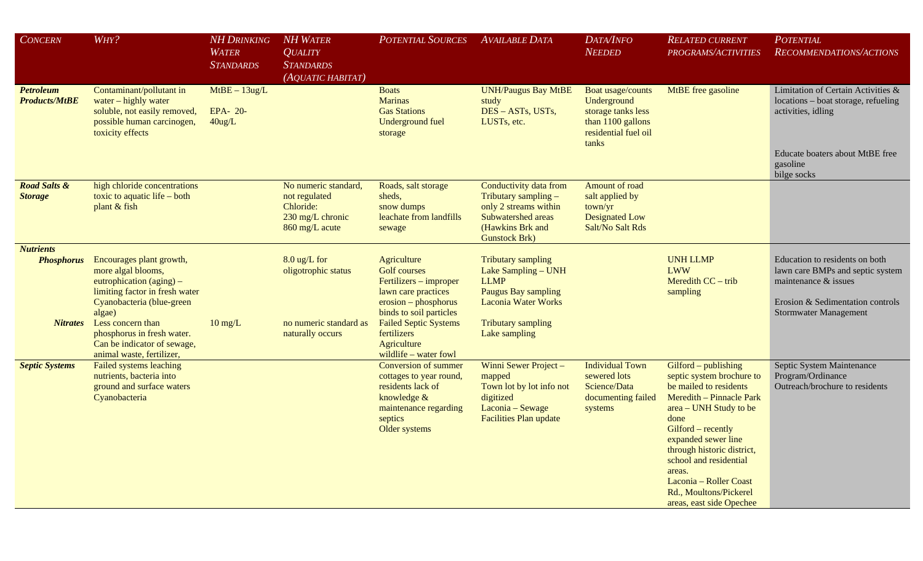| CONCERN                                                  | WHY?                                                                                                                                                                                                                                    | <b>NH DRINKING</b><br><b>WATER</b><br><b>STANDARDS</b> | <b>NH WATER</b><br><b>QUALITY</b><br><b>STANDARDS</b><br>(AQUATIC HABITAT)                  | <b>POTENTIAL SOURCES</b>                                                                                                                                                                             | <b>AVAILABLE DATA</b>                                                                                                                                                     | DATA/INFO<br><b>NEEDED</b>                                                                                   | <b>RELATED CURRENT</b><br>PROGRAMS/ACTIVITIES                                                                                                                                                                                                                                                                                            | <b>POTENTIAL</b><br>RECOMMENDATIONS/ACTIONS                                                                                                                    |
|----------------------------------------------------------|-----------------------------------------------------------------------------------------------------------------------------------------------------------------------------------------------------------------------------------------|--------------------------------------------------------|---------------------------------------------------------------------------------------------|------------------------------------------------------------------------------------------------------------------------------------------------------------------------------------------------------|---------------------------------------------------------------------------------------------------------------------------------------------------------------------------|--------------------------------------------------------------------------------------------------------------|------------------------------------------------------------------------------------------------------------------------------------------------------------------------------------------------------------------------------------------------------------------------------------------------------------------------------------------|----------------------------------------------------------------------------------------------------------------------------------------------------------------|
| <b>Petroleum</b><br><b>Products/MtBE</b>                 | Contaminant/pollutant in<br>water - highly water<br>soluble, not easily removed,<br>possible human carcinogen,<br>toxicity effects                                                                                                      | $MtBE - 13ug/L$<br>EPA- 20-<br>$40$ ug/L               |                                                                                             | <b>Boats</b><br><b>Marinas</b><br><b>Gas Stations</b><br><b>Underground fuel</b><br>storage                                                                                                          | <b>UNH/Paugus Bay MtBE</b><br>study<br>DES - ASTs, USTs,<br>LUSTs, etc.                                                                                                   | Boat usage/counts<br>Underground<br>storage tanks less<br>than 1100 gallons<br>residential fuel oil<br>tanks | MtBE free gasoline                                                                                                                                                                                                                                                                                                                       | Limitation of Certain Activities &<br>locations - boat storage, refueling<br>activities, idling<br>Educate boaters about MtBE free<br>gasoline<br>bilge socks  |
| <b>Road Salts &amp;</b><br><b>Storage</b>                | high chloride concentrations<br>toxic to aquatic life $-$ both<br>plant & fish                                                                                                                                                          |                                                        | No numeric standard,<br>not regulated<br>Chloride:<br>230 mg/L chronic<br>860 mg/L acute    | Roads, salt storage<br>sheds,<br>snow dumps<br>leachate from landfills<br>sewage                                                                                                                     | Conductivity data from<br>Tributary sampling -<br>only 2 streams within<br>Subwatershed areas<br>(Hawkins Brk and<br><b>Gunstock Brk)</b>                                 | Amount of road<br>salt applied by<br>town/yr<br><b>Designated Low</b><br>Salt/No Salt Rds                    |                                                                                                                                                                                                                                                                                                                                          |                                                                                                                                                                |
| <b>Nutrients</b><br><b>Phosphorus</b><br><i>Nitrates</i> | Encourages plant growth,<br>more algal blooms,<br>eutrophication $(aging)$ –<br>limiting factor in fresh water<br>Cyanobacteria (blue-green<br>algae)<br>Less concern than<br>phosphorus in fresh water.<br>Can be indicator of sewage, | $10 \text{ mg/L}$                                      | $8.0 \text{ ug/L}$ for<br>oligotrophic status<br>no numeric standard as<br>naturally occurs | Agriculture<br><b>Golf</b> courses<br>Fertilizers – improper<br>lawn care practices<br>$erosion-phosphorus$<br>binds to soil particles<br><b>Failed Septic Systems</b><br>fertilizers<br>Agriculture | <b>Tributary sampling</b><br>Lake Sampling - UNH<br><b>LLMP</b><br><b>Paugus Bay sampling</b><br><b>Laconia Water Works</b><br><b>Tributary sampling</b><br>Lake sampling |                                                                                                              | <b>UNH LLMP</b><br><b>LWW</b><br>Meredith CC - trib<br>sampling                                                                                                                                                                                                                                                                          | Education to residents on both<br>lawn care BMPs and septic system<br>maintenance & issues<br>Erosion & Sedimentation controls<br><b>Stormwater Management</b> |
| <b>Septic Systems</b>                                    | animal waste, fertilizer,<br>Failed systems leaching<br>nutrients, bacteria into<br>ground and surface waters<br>Cyanobacteria                                                                                                          |                                                        |                                                                                             | wildlife - water fowl<br>Conversion of summer<br>cottages to year round,<br>residents lack of<br>knowledge &<br>maintenance regarding<br>septics<br>Older systems                                    | Winni Sewer Project -<br>mapped<br>Town lot by lot info not<br>digitized<br>Laconia - Sewage<br><b>Facilities Plan update</b>                                             | <b>Individual Town</b><br>sewered lots<br>Science/Data<br>documenting failed<br>systems                      | Gilford - publishing<br>septic system brochure to<br>be mailed to residents<br>Meredith - Pinnacle Park<br>area – UNH Study to be<br>done<br>Gilford – recently<br>expanded sewer line<br>through historic district,<br>school and residential<br>areas.<br>Laconia - Roller Coast<br>Rd., Moultons/Pickerel<br>areas, east side Opechee | Septic System Maintenance<br>Program/Ordinance<br>Outreach/brochure to residents                                                                               |